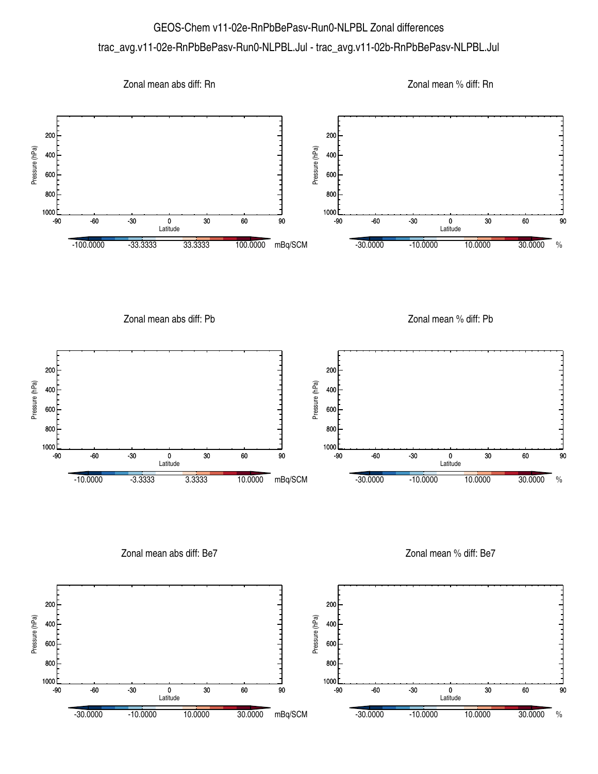## GEOS-Chem v11-02e-RnPbBePasv-Run0-NLPBL Zonal differences trac\_avg.v11-02e-RnPbBePasv-Run0-NLPBL.Jul - trac\_avg.v11-02b-RnPbBePasv-NLPBL.Jul